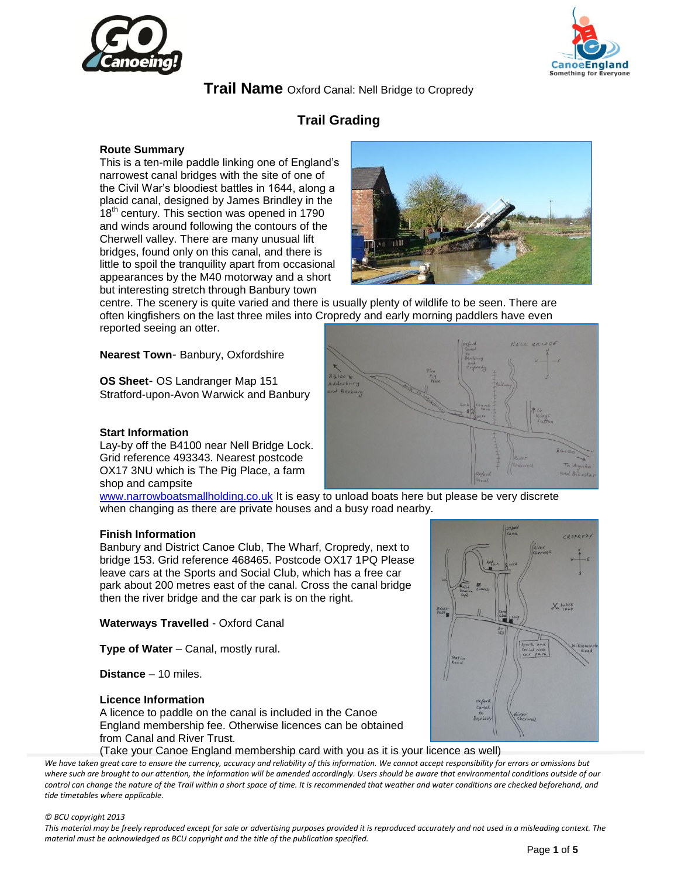



# **Trail Name** Oxford Canal: Nell Bridge to Cropredy

# **Trail Grading**

#### **Route Summary**

This is a ten-mile paddle linking one of England's narrowest canal bridges with the site of one of the Civil War's bloodiest battles in 1644, along a placid canal, designed by James Brindley in the 18<sup>th</sup> century. This section was opened in 1790 and winds around following the contours of the Cherwell valley. There are many unusual lift bridges, found only on this canal, and there is little to spoil the tranquility apart from occasional appearances by the M40 motorway and a short but interesting stretch through Banbury town



centre. The scenery is quite varied and there is usually plenty of wildlife to be seen. There are often kingfishers on the last three miles into Cropredy and early morning paddlers have even reported seeing an otter.

**Nearest Town**- Banbury, Oxfordshire

**OS Sheet**- OS Landranger Map 151 Stratford-upon-Avon Warwick and Banbury

#### **Start Information**

Lay-by off the B4100 near Nell Bridge Lock. Grid reference 493343. Nearest postcode OX17 3NU which is The Pig Place, a farm shop and campsite

[www.narrowboatsmallholding.co.uk](http://www.narrowboatsmallholding.co.uk/) It is easy to unload boats here but please be very discrete when changing as there are private houses and a busy road nearby.

#### **Finish Information**

Banbury and District Canoe Club, The Wharf, Cropredy, next to bridge 153. Grid reference 468465. Postcode OX17 1PQ Please leave cars at the Sports and Social Club, which has a free car park about 200 metres east of the canal. Cross the canal bridge then the river bridge and the car park is on the right.

**Waterways Travelled** - Oxford Canal

**Type of Water** – Canal, mostly rural.

**Distance** – 10 miles.

#### **Licence Information**

A licence to paddle on the canal is included in the Canoe England membership fee. Otherwise licences can be obtained from Canal and River Trust.

(Take your Canoe England membership card with you as it is your licence as well)

We have taken great care to ensure the currency, accuracy and reliability of this information. We cannot accept responsibility for errors or omissions but where such are brought to our attention, the information will be amended accordingly. Users should be aware that environmental conditions outside of our *control can change the nature of the Trail within a short space of time. It is recommended that weather and water conditions are checked beforehand, and tide timetables where applicable.* 

#### *© BCU copyright 2013*



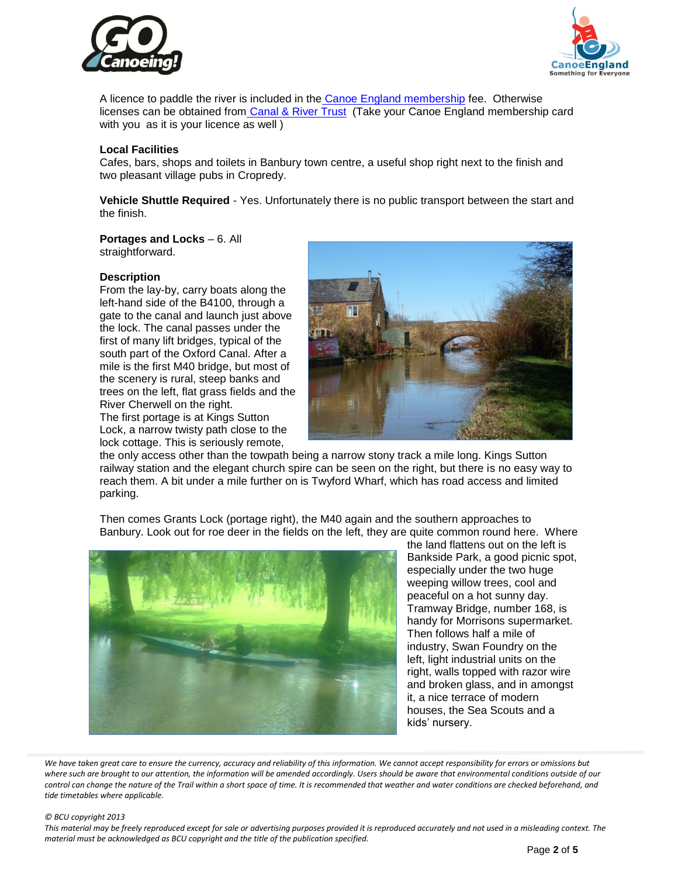



A licence to paddle the river is included in the [Canoe England membership](http://www.canoe-england.org.uk/membership/) fee. Otherwise licenses can be obtained from [Canal & River Trust](http://www.britishwaterways.co.uk/license-it) (Take your Canoe England membership card with you as it is your licence as well)

#### **Local Facilities**

Cafes, bars, shops and toilets in Banbury town centre, a useful shop right next to the finish and two pleasant village pubs in Cropredy.

**Vehicle Shuttle Required** - Yes. Unfortunately there is no public transport between the start and the finish.

**Portages and Locks** – 6. All straightforward.

#### **Description**

From the lay-by, carry boats along the left-hand side of the B4100, through a gate to the canal and launch just above the lock. The canal passes under the first of many lift bridges, typical of the south part of the Oxford Canal. After a mile is the first M40 bridge, but most of the scenery is rural, steep banks and trees on the left, flat grass fields and the River Cherwell on the right. The first portage is at Kings Sutton Lock, a narrow twisty path close to the lock cottage. This is seriously remote,



the only access other than the towpath being a narrow stony track a mile long. Kings Sutton railway station and the elegant church spire can be seen on the right, but there is no easy way to reach them. A bit under a mile further on is Twyford Wharf, which has road access and limited parking.

Then comes Grants Lock (portage right), the M40 again and the southern approaches to Banbury. Look out for roe deer in the fields on the left, they are quite common round here. Where



the land flattens out on the left is Bankside Park, a good picnic spot, especially under the two huge weeping willow trees, cool and peaceful on a hot sunny day. Tramway Bridge, number 168, is handy for Morrisons supermarket. Then follows half a mile of industry, Swan Foundry on the left, light industrial units on the right, walls topped with razor wire and broken glass, and in amongst it, a nice terrace of modern houses, the Sea Scouts and a kids' nursery.

We have taken great care to ensure the currency, accuracy and reliability of this information. We cannot accept responsibility for errors or omissions but where such are brought to our attention, the information will be amended accordingly. Users should be aware that environmental conditions outside of our *control can change the nature of the Trail within a short space of time. It is recommended that weather and water conditions are checked beforehand, and tide timetables where applicable.* 

#### *© BCU copyright 2013*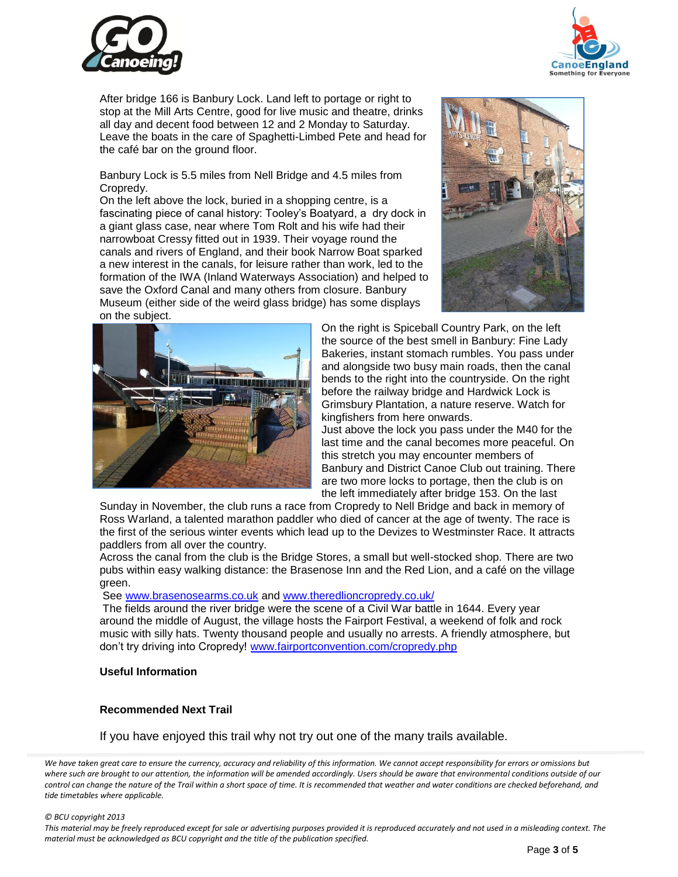



After bridge 166 is Banbury Lock. Land left to portage or right to stop at the Mill Arts Centre, good for live music and theatre, drinks all day and decent food between 12 and 2 Monday to Saturday. Leave the boats in the care of Spaghetti-Limbed Pete and head for the café bar on the ground floor.

Banbury Lock is 5.5 miles from Nell Bridge and 4.5 miles from Cropredy.

On the left above the lock, buried in a shopping centre, is a fascinating piece of canal history: Tooley's Boatyard, a dry dock in a giant glass case, near where Tom Rolt and his wife had their narrowboat Cressy fitted out in 1939. Their voyage round the canals and rivers of England, and their book Narrow Boat sparked a new interest in the canals, for leisure rather than work, led to the formation of the IWA (Inland Waterways Association) and helped to save the Oxford Canal and many others from closure. Banbury Museum (either side of the weird glass bridge) has some displays on the subject.





On the right is Spiceball Country Park, on the left the source of the best smell in Banbury: Fine Lady Bakeries, instant stomach rumbles. You pass under and alongside two busy main roads, then the canal bends to the right into the countryside. On the right before the railway bridge and Hardwick Lock is Grimsbury Plantation, a nature reserve. Watch for kingfishers from here onwards.

Just above the lock you pass under the M40 for the last time and the canal becomes more peaceful. On this stretch you may encounter members of Banbury and District Canoe Club out training. There are two more locks to portage, then the club is on the left immediately after bridge 153. On the last

Sunday in November, the club runs a race from Cropredy to Nell Bridge and back in memory of Ross Warland, a talented marathon paddler who died of cancer at the age of twenty. The race is the first of the serious winter events which lead up to the Devizes to Westminster Race. It attracts paddlers from all over the country.

Across the canal from the club is the Bridge Stores, a small but well-stocked shop. There are two pubs within easy walking distance: the Brasenose Inn and the Red Lion, and a café on the village green.

See [www.brasenosearms.co.uk](http://www.brasenosearms.co.uk/) and [www.theredlioncropredy.co.uk/](http://www.theredlioncropredy.co.uk/)

The fields around the river bridge were the scene of a Civil War battle in 1644. Every year around the middle of August, the village hosts the Fairport Festival, a weekend of folk and rock music with silly hats. Twenty thousand people and usually no arrests. A friendly atmosphere, but don't try driving into Cropredy! [www.fairportconvention.com/cropredy.php](http://www.fairportconvention.com/cropredy.php)

#### **Useful Information**

### **Recommended Next Trail**

### If you have enjoyed this trail why not try out one of the many trails available.

We have taken great care to ensure the currency, accuracy and reliability of this information. We cannot accept responsibility for errors or omissions but where such are brought to our attention, the information will be amended accordingly. Users should be aware that environmental conditions outside of our *control can change the nature of the Trail within a short space of time. It is recommended that weather and water conditions are checked beforehand, and tide timetables where applicable.* 

#### *© BCU copyright 2013*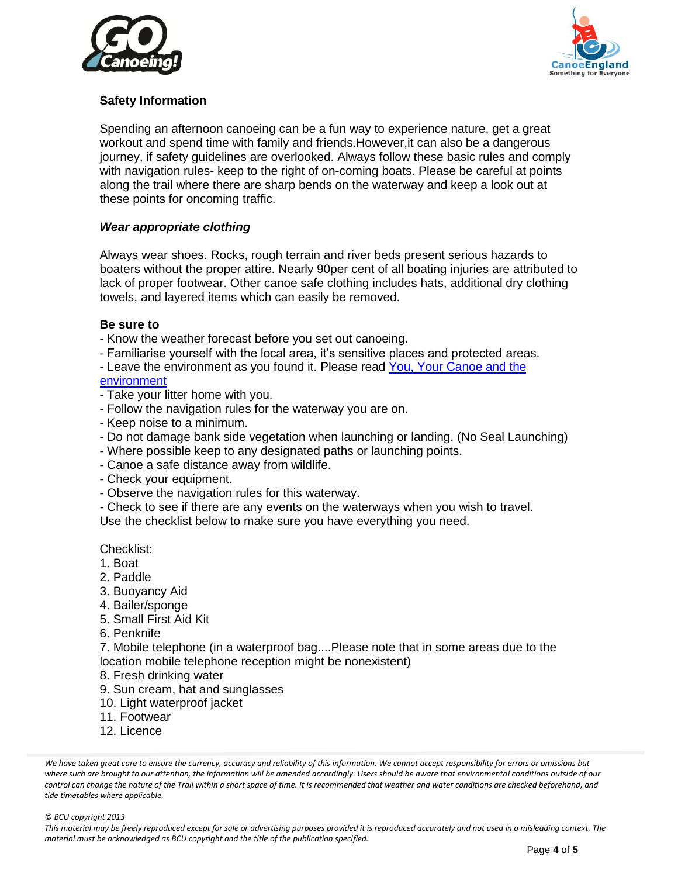



# **Safety Information**

Spending an afternoon canoeing can be a fun way to experience nature, get a great workout and spend time with family and friends.However,it can also be a dangerous journey, if safety guidelines are overlooked. Always follow these basic rules and comply with navigation rules- keep to the right of on-coming boats. Please be careful at points along the trail where there are sharp bends on the waterway and keep a look out at these points for oncoming traffic.

## *Wear appropriate clothing*

Always wear shoes. Rocks, rough terrain and river beds present serious hazards to boaters without the proper attire. Nearly 90per cent of all boating injuries are attributed to lack of proper footwear. Other canoe safe clothing includes hats, additional dry clothing towels, and layered items which can easily be removed.

### **Be sure to**

- Know the weather forecast before you set out canoeing.
- Familiarise yourself with the local area, it's sensitive places and protected areas.
- Leave the environment as you found it. Please read You, Your Canoe and the

# [environment](http://www.canoe-england.org.uk/media/pdf/you%20your%20canoe%20and%20the%20environment%20November%202012.pdf)

- Take your litter home with you.
- Follow the navigation rules for the waterway you are on.
- Keep noise to a minimum.
- Do not damage bank side vegetation when launching or landing. (No Seal Launching)
- Where possible keep to any designated paths or launching points.
- Canoe a safe distance away from wildlife.
- Check your equipment.
- Observe the navigation rules for this waterway.
- *-* Check to see if there are any events on the waterways when you wish to travel.
- Use the checklist below to make sure you have everything you need.

### Checklist:

- 1. Boat
- 2. Paddle
- 3. Buoyancy Aid
- 4. Bailer/sponge
- 5. Small First Aid Kit
- 6. Penknife
- 7. Mobile telephone (in a waterproof bag....Please note that in some areas due to the location mobile telephone reception might be nonexistent)
- 8. Fresh drinking water
- 9. Sun cream, hat and sunglasses
- 10. Light waterproof jacket
- 11. Footwear
- 12. Licence

We have taken great care to ensure the currency, accuracy and reliability of this information. We cannot accept responsibility for errors or omissions but where such are brought to our attention, the information will be amended accordingly. Users should be aware that environmental conditions outside of our *control can change the nature of the Trail within a short space of time. It is recommended that weather and water conditions are checked beforehand, and tide timetables where applicable.*